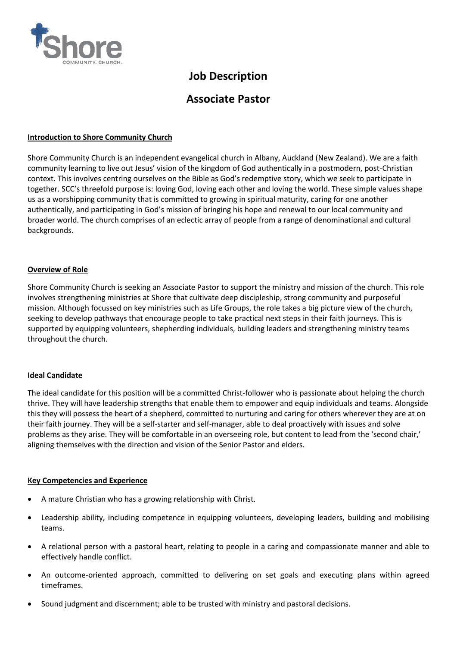

# **Job Description**

## **Associate Pastor**

## **Introduction to Shore Community Church**

Shore Community Church is an independent evangelical church in Albany, Auckland (New Zealand). We are a faith community learning to live out Jesus' vision of the kingdom of God authentically in a postmodern, post-Christian context. This involves centring ourselves on the Bible as God's redemptive story, which we seek to participate in together. SCC's threefold purpose is: loving God, loving each other and loving the world. These simple values shape us as a worshipping community that is committed to growing in spiritual maturity, caring for one another authentically, and participating in God's mission of bringing his hope and renewal to our local community and broader world. The church comprises of an eclectic array of people from a range of denominational and cultural backgrounds.

### **Overview of Role**

Shore Community Church is seeking an Associate Pastor to support the ministry and mission of the church. This role involves strengthening ministries at Shore that cultivate deep discipleship, strong community and purposeful mission. Although focussed on key ministries such as Life Groups, the role takes a big picture view of the church, seeking to develop pathways that encourage people to take practical next steps in their faith journeys. This is supported by equipping volunteers, shepherding individuals, building leaders and strengthening ministry teams throughout the church.

#### **Ideal Candidate**

The ideal candidate for this position will be a committed Christ-follower who is passionate about helping the church thrive. They will have leadership strengths that enable them to empower and equip individuals and teams. Alongside this they will possess the heart of a shepherd, committed to nurturing and caring for others wherever they are at on their faith journey. They will be a self-starter and self-manager, able to deal proactively with issues and solve problems as they arise. They will be comfortable in an overseeing role, but content to lead from the 'second chair,' aligning themselves with the direction and vision of the Senior Pastor and elders.

#### **Key Competencies and Experience**

- A mature Christian who has a growing relationship with Christ.
- Leadership ability, including competence in equipping volunteers, developing leaders, building and mobilising teams.
- A relational person with a pastoral heart, relating to people in a caring and compassionate manner and able to effectively handle conflict.
- An outcome-oriented approach, committed to delivering on set goals and executing plans within agreed timeframes.
- Sound judgment and discernment; able to be trusted with ministry and pastoral decisions.